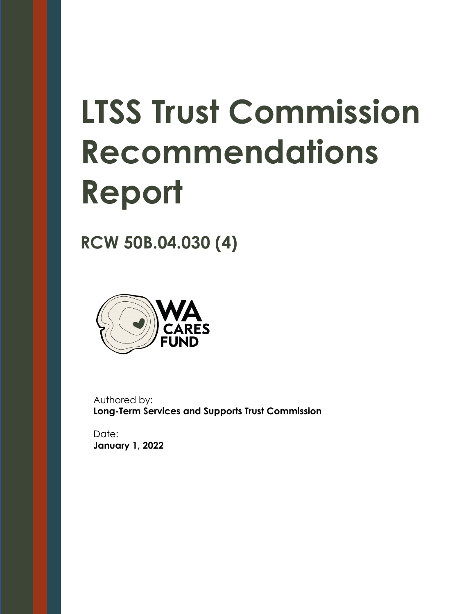# **LTSS Trust Commission Recommendations Report**

**RCW 50B.04.030 (4)**



Authored by: **Long-Term Services and Supports Trust Commission**

Date: **January 1, 2022**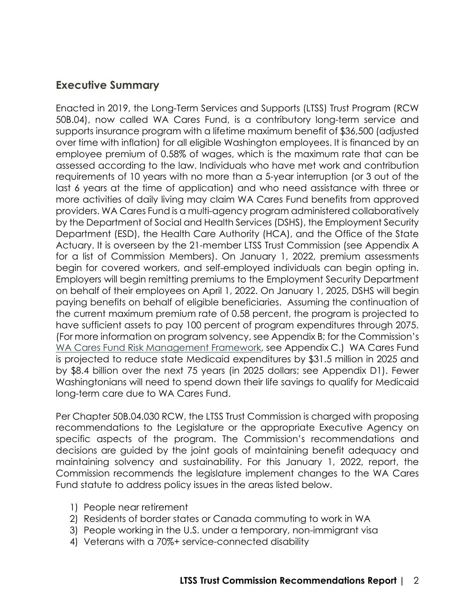# **Executive Summary**

Enacted in 2019, the Long-Term Services and Supports (LTSS) Trust Program (RCW 50B.04), now called WA Cares Fund, is a contributory long-term service and supports insurance program with a lifetime maximum benefit of \$36,500 (adjusted over time with inflation) for all eligible Washington employees. It is financed by an employee premium of 0.58% of wages, which is the maximum rate that can be assessed according to the law. Individuals who have met work and contribution requirements of 10 years with no more than a 5-year interruption (or 3 out of the last 6 years at the time of application) and who need assistance with three or more activities of daily living may claim WA Cares Fund benefits from approved providers. WA Cares Fund is a multi-agency program administered collaboratively by the Department of Social and Health Services (DSHS), the Employment Security Department (ESD), the Health Care Authority (HCA), and the Office of the State Actuary. It is overseen by the 21-member LTSS Trust Commission (see Appendix A for a list of Commission Members). On January 1, 2022, premium assessments begin for covered workers, and self-employed individuals can begin opting in. Employers will begin remitting premiums to the Employment Security Department on behalf of their employees on April 1, 2022. On January 1, 2025, DSHS will begin paying benefits on behalf of eligible beneficiaries. Assuming the continuation of the current maximum premium rate of 0.58 percent, the program is projected to have sufficient assets to pay 100 percent of program expenditures through 2075. (For more information on program solvency, see Appendix B; for the Commission's [WA Cares Fund Risk Management Framework,](https://leg.wa.gov/osa/additionalservices/Documents/LTSS.Trust.Commission.Risk.Management.FrameworkFINAL.pdf) see Appendix C.) WA Cares Fund is projected to reduce state Medicaid expenditures by \$31.5 million in 2025 and by \$8.4 billion over the next 75 years (in 2025 dollars; see Appendix D1). Fewer Washingtonians will need to spend down their life savings to qualify for Medicaid long-term care due to WA Cares Fund.

Per Chapter 50B.04.030 RCW, the LTSS Trust Commission is charged with proposing recommendations to the Legislature or the appropriate Executive Agency on specific aspects of the program. The Commission's recommendations and decisions are guided by the joint goals of maintaining benefit adequacy and maintaining solvency and sustainability. For this January 1, 2022, report, the Commission recommends the legislature implement changes to the WA Cares Fund statute to address policy issues in the areas listed below.

- 1) People near retirement
- 2) Residents of border states or Canada commuting to work in WA
- 3) People working in the U.S. under a temporary, non-immigrant visa
- 4) Veterans with a 70%+ service-connected disability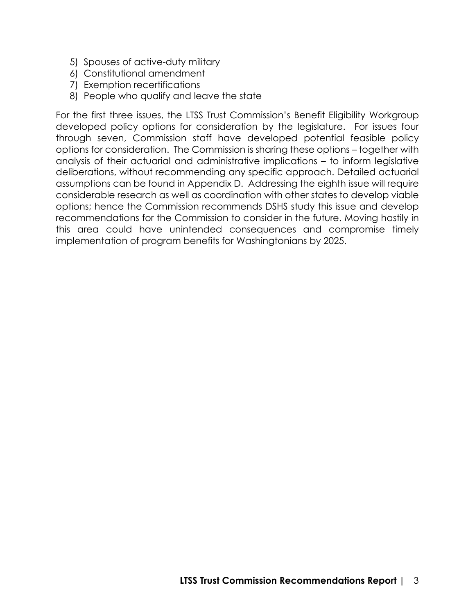- 5) Spouses of active-duty military
- 6) Constitutional amendment
- 7) Exemption recertifications
- 8) People who qualify and leave the state

For the first three issues, the LTSS Trust Commission's Benefit Eligibility Workgroup developed policy options for consideration by the legislature. For issues four through seven, Commission staff have developed potential feasible policy options for consideration. The Commission is sharing these options – together with analysis of their actuarial and administrative implications – to inform legislative deliberations, without recommending any specific approach. Detailed actuarial assumptions can be found in Appendix D. Addressing the eighth issue will require considerable research as well as coordination with other states to develop viable options; hence the Commission recommends DSHS study this issue and develop recommendations for the Commission to consider in the future. Moving hastily in this area could have unintended consequences and compromise timely implementation of program benefits for Washingtonians by 2025.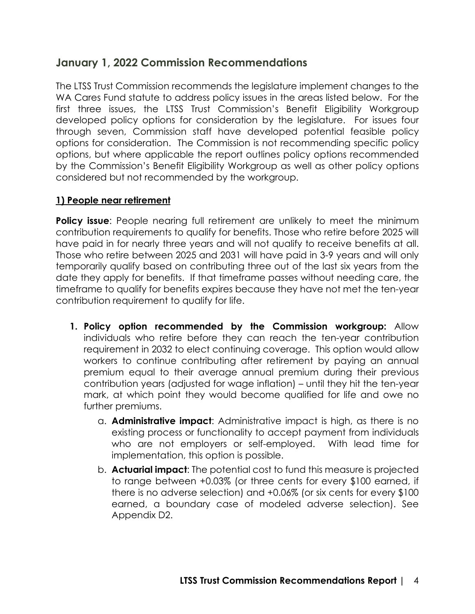# **January 1, 2022 Commission Recommendations**

The LTSS Trust Commission recommends the legislature implement changes to the WA Cares Fund statute to address policy issues in the areas listed below. For the first three issues, the LTSS Trust Commission's Benefit Eligibility Workgroup developed policy options for consideration by the legislature. For issues four through seven, Commission staff have developed potential feasible policy options for consideration. The Commission is not recommending specific policy options, but where applicable the report outlines policy options recommended by the Commission's Benefit Eligibility Workgroup as well as other policy options considered but not recommended by the workgroup.

#### **1) People near retirement**

**Policy issue:** People nearing full retirement are unlikely to meet the minimum contribution requirements to qualify for benefits. Those who retire before 2025 will have paid in for nearly three years and will not qualify to receive benefits at all. Those who retire between 2025 and 2031 will have paid in 3-9 years and will only temporarily qualify based on contributing three out of the last six years from the date they apply for benefits. If that timeframe passes without needing care, the timeframe to qualify for benefits expires because they have not met the ten-year contribution requirement to qualify for life.

- **1. Policy option recommended by the Commission workgroup:** Allow individuals who retire before they can reach the ten-year contribution requirement in 2032 to elect continuing coverage. This option would allow workers to continue contributing after retirement by paying an annual premium equal to their average annual premium during their previous contribution years (adjusted for wage inflation) – until they hit the ten-year mark, at which point they would become qualified for life and owe no further premiums.
	- a. **Administrative impact**: Administrative impact is high, as there is no existing process or functionality to accept payment from individuals who are not employers or self-employed. With lead time for implementation, this option is possible.
	- b. **Actuarial impact**: The potential cost to fund this measure is projected to range between +0.03% (or three cents for every \$100 earned, if there is no adverse selection) and +0.06% (or six cents for every \$100 earned, a boundary case of modeled adverse selection). See Appendix D2.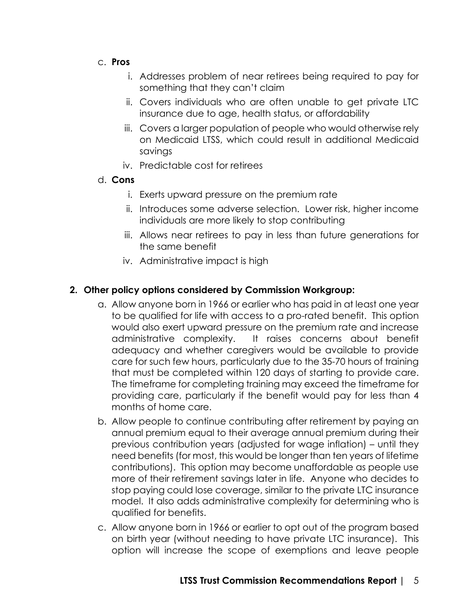- c. **Pros**
	- i. Addresses problem of near retirees being required to pay for something that they can't claim
	- ii. Covers individuals who are often unable to get private LTC insurance due to age, health status, or affordability
	- iii. Covers a larger population of people who would otherwise rely on Medicaid LTSS, which could result in additional Medicaid savings
	- iv. Predictable cost for retirees

#### d. **Cons**

- i. Exerts upward pressure on the premium rate
- ii. Introduces some adverse selection. Lower risk, higher income individuals are more likely to stop contributing
- iii. Allows near retirees to pay in less than future generations for the same benefit
- iv. Administrative impact is high

## **2. Other policy options considered by Commission Workgroup:**

- a. Allow anyone born in 1966 or earlier who has paid in at least one year to be qualified for life with access to a pro-rated benefit. This option would also exert upward pressure on the premium rate and increase administrative complexity. It raises concerns about benefit adequacy and whether caregivers would be available to provide care for such few hours, particularly due to the 35-70 hours of training that must be completed within 120 days of starting to provide care. The timeframe for completing training may exceed the timeframe for providing care, particularly if the benefit would pay for less than 4 months of home care.
- b. Allow people to continue contributing after retirement by paying an annual premium equal to their average annual premium during their previous contribution years (adjusted for wage inflation) – until they need benefits (for most, this would be longer than ten years of lifetime contributions). This option may become unaffordable as people use more of their retirement savings later in life. Anyone who decides to stop paying could lose coverage, similar to the private LTC insurance model. It also adds administrative complexity for determining who is qualified for benefits.
- c. Allow anyone born in 1966 or earlier to opt out of the program based on birth year (without needing to have private LTC insurance). This option will increase the scope of exemptions and leave people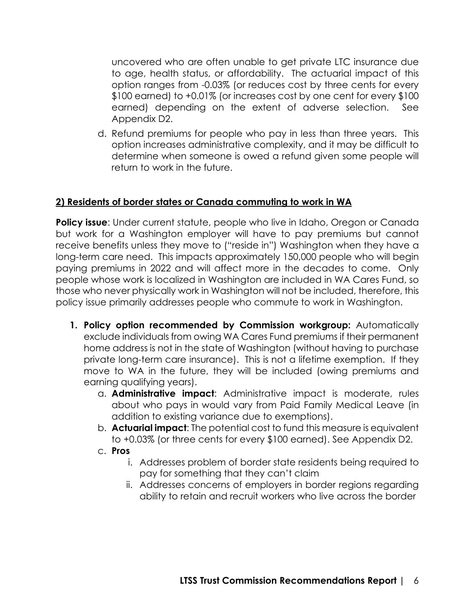uncovered who are often unable to get private LTC insurance due to age, health status, or affordability. The actuarial impact of this option ranges from -0.03% (or reduces cost by three cents for every \$100 earned) to +0.01% (or increases cost by one cent for every \$100 earned) depending on the extent of adverse selection. See Appendix D2.

d. Refund premiums for people who pay in less than three years. This option increases administrative complexity, and it may be difficult to determine when someone is owed a refund given some people will return to work in the future.

#### **2) Residents of border states or Canada commuting to work in WA**

**Policy issue**: Under current statute, people who live in Idaho, Oregon or Canada but work for a Washington employer will have to pay premiums but cannot receive benefits unless they move to ("reside in") Washington when they have a long-term care need. This impacts approximately 150,000 people who will begin paying premiums in 2022 and will affect more in the decades to come. Only people whose work is localized in Washington are included in WA Cares Fund, so those who never physically work in Washington will not be included, therefore, this policy issue primarily addresses people who commute to work in Washington.

- **1. Policy option recommended by Commission workgroup:** Automatically exclude individuals from owing WA Cares Fund premiums if their permanent home address is not in the state of Washington (without having to purchase private long-term care insurance). This is not a lifetime exemption. If they move to WA in the future, they will be included (owing premiums and earning qualifying years).
	- a. **Administrative impact**: Administrative impact is moderate, rules about who pays in would vary from Paid Family Medical Leave (in addition to existing variance due to exemptions).
	- b. **Actuarial impact**: The potential cost to fund this measure is equivalent to +0.03% (or three cents for every \$100 earned). See Appendix D2.
	- c. **Pros**
		- i. Addresses problem of border state residents being required to pay for something that they can't claim
		- ii. Addresses concerns of employers in border regions regarding ability to retain and recruit workers who live across the border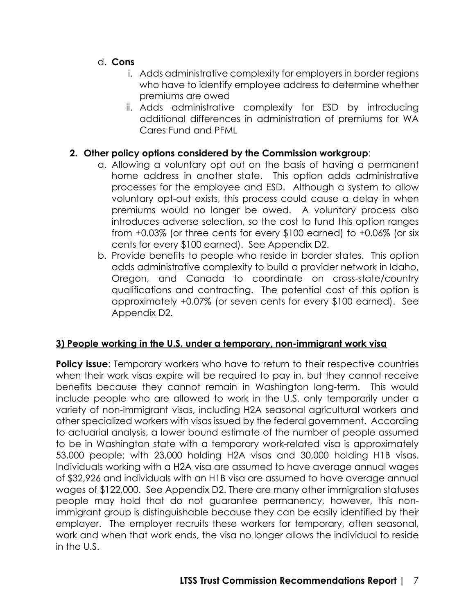- d. **Cons**
	- i. Adds administrative complexity for employers in border regions who have to identify employee address to determine whether premiums are owed
	- ii. Adds administrative complexity for ESD by introducing additional differences in administration of premiums for WA Cares Fund and PFML

## **2. Other policy options considered by the Commission workgroup**:

- a. Allowing a voluntary opt out on the basis of having a permanent home address in another state. This option adds administrative processes for the employee and ESD. Although a system to allow voluntary opt-out exists, this process could cause a delay in when premiums would no longer be owed. A voluntary process also introduces adverse selection, so the cost to fund this option ranges from +0.03% (or three cents for every \$100 earned) to +0.06% (or six cents for every \$100 earned). See Appendix D2.
- b. Provide benefits to people who reside in border states. This option adds administrative complexity to build a provider network in Idaho, Oregon, and Canada to coordinate on cross-state/country qualifications and contracting. The potential cost of this option is approximately +0.07% (or seven cents for every \$100 earned). See Appendix D2.

#### **3) People working in the U.S. under a temporary, non-immigrant work visa**

**Policy issue**: Temporary workers who have to return to their respective countries when their work visas expire will be required to pay in, but they cannot receive benefits because they cannot remain in Washington long-term. This would include people who are allowed to work in the U.S. only temporarily under a variety of non-immigrant visas, including H2A seasonal agricultural workers and other specialized workers with visas issued by the federal government. According to actuarial analysis, a lower bound estimate of the number of people assumed to be in Washington state with a temporary work-related visa is approximately 53,000 people; with 23,000 holding H2A visas and 30,000 holding H1B visas. Individuals working with a H2A visa are assumed to have average annual wages of \$32,926 and individuals with an H1B visa are assumed to have average annual wages of \$122,000. See Appendix D2. There are many other immigration statuses people may hold that do not guarantee permanency, however, this nonimmigrant group is distinguishable because they can be easily identified by their employer. The employer recruits these workers for temporary, often seasonal, work and when that work ends, the visa no longer allows the individual to reside in the U.S.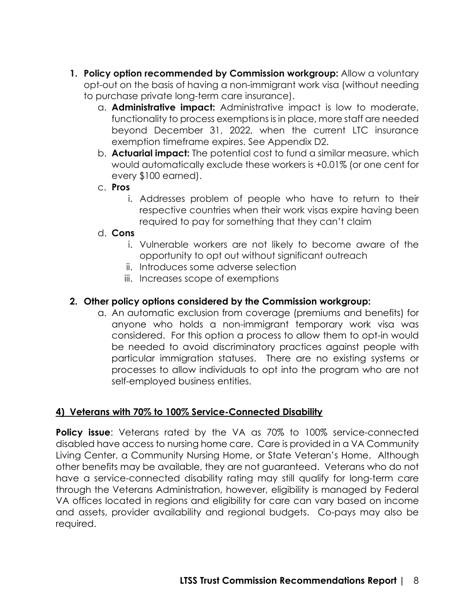- **1. Policy option recommended by Commission workgroup:** Allow a voluntary opt-out on the basis of having a non-immigrant work visa (without needing to purchase private long-term care insurance).
	- a. **Administrative impact:** Administrative impact is low to moderate, functionality to process exemptions is in place, more staff are needed beyond December 31, 2022, when the current LTC insurance exemption timeframe expires. See Appendix D2.
	- b. **Actuarial impact:** The potential cost to fund a similar measure, which would automatically exclude these workers is +0.01% (or one cent for every \$100 earned).
	- c. **Pros**
		- i. Addresses problem of people who have to return to their respective countries when their work visas expire having been required to pay for something that they can't claim

#### d. **Cons**

- i. Vulnerable workers are not likely to become aware of the opportunity to opt out without significant outreach
- ii. Introduces some adverse selection
- iii. Increases scope of exemptions

#### **2. Other policy options considered by the Commission workgroup:**

a. An automatic exclusion from coverage (premiums and benefits) for anyone who holds a non-immigrant temporary work visa was considered. For this option a process to allow them to opt-in would be needed to avoid discriminatory practices against people with particular immigration statuses. There are no existing systems or processes to allow individuals to opt into the program who are not self-employed business entities.

#### **4) Veterans with 70% to 100% Service-Connected Disability**

**Policy issue**: Veterans rated by the VA as 70% to 100% service-connected disabled have access to nursing home care. Care is provided in a VA Community Living Center, a Community Nursing Home, or State Veteran's Home. Although other benefits may be available, they are not guaranteed. Veterans who do not have a service-connected disability rating may still qualify for long-term care through the Veterans Administration, however, eligibility is managed by Federal VA offices located in regions and eligibility for care can vary based on income and assets, provider availability and regional budgets. Co-pays may also be required.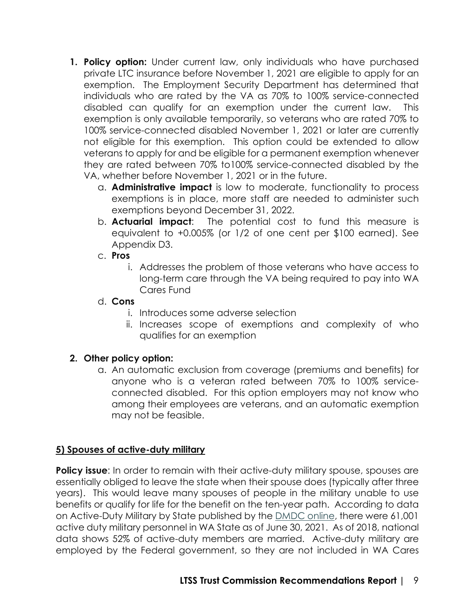- **1. Policy option:** Under current law, only individuals who have purchased private LTC insurance before November 1, 2021 are eligible to apply for an exemption. The Employment Security Department has determined that individuals who are rated by the VA as 70% to 100% service-connected disabled can qualify for an exemption under the current law. This exemption is only available temporarily, so veterans who are rated 70% to 100% service-connected disabled November 1, 2021 or later are currently not eligible for this exemption. This option could be extended to allow veterans to apply for and be eligible for a permanent exemption whenever they are rated between 70% to100% service-connected disabled by the VA, whether before November 1, 2021 or in the future.
	- a. **Administrative impact** is low to moderate, functionality to process exemptions is in place, more staff are needed to administer such exemptions beyond December 31, 2022.
	- b. **Actuarial impact**: The potential cost to fund this measure is equivalent to +0.005% (or 1/2 of one cent per \$100 earned). See Appendix D3.
	- c. **Pros**
		- i. Addresses the problem of those veterans who have access to long-term care through the VA being required to pay into WA Cares Fund
	- d. **Cons**
		- i. Introduces some adverse selection
		- ii. Increases scope of exemptions and complexity of who qualifies for an exemption

## **2. Other policy option:**

a. An automatic exclusion from coverage (premiums and benefits) for anyone who is a veteran rated between 70% to 100% serviceconnected disabled. For this option employers may not know who among their employees are veterans, and an automatic exemption may not be feasible.

## **5) Spouses of active-duty military**

**Policy issue:** In order to remain with their active-duty military spouse, spouses are essentially obliged to leave the state when their spouse does (typically after three years). This would leave many spouses of people in the military unable to use benefits or qualify for life for the benefit on the ten-year path. According to data on Active-Duty Military by State published by the [DMDC online,](https://dwp.dmdc.osd.mil/dwp/app/dod-data-reports/workforce-reports) there were 61,001 active duty military personnel in WA State as of June 30, 2021. As of 2018, national data shows 52% of active-duty members are married. Active-duty military are employed by the Federal government, so they are not included in WA Cares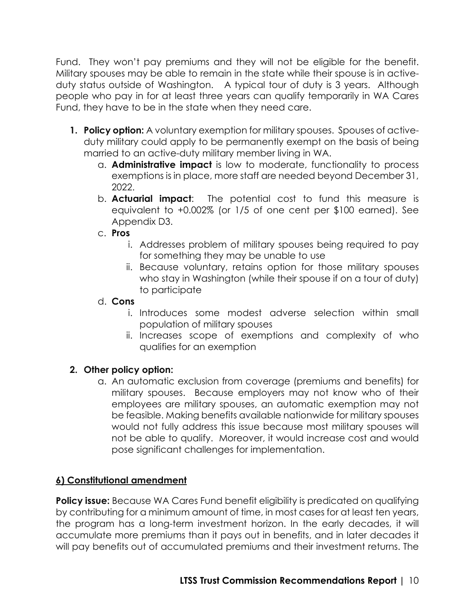Fund. They won't pay premiums and they will not be eligible for the benefit. Military spouses may be able to remain in the state while their spouse is in activeduty status outside of Washington. A typical tour of duty is 3 years. Although people who pay in for at least three years can qualify temporarily in WA Cares Fund, they have to be in the state when they need care.

- **1. Policy option:** A voluntary exemption for military spouses. Spouses of activeduty military could apply to be permanently exempt on the basis of being married to an active-duty military member living in WA.
	- a. **Administrative impact** is low to moderate, functionality to process exemptions is in place, more staff are needed beyond December 31, 2022.
	- b. **Actuarial impact**: The potential cost to fund this measure is equivalent to +0.002% (or 1/5 of one cent per \$100 earned). See Appendix D3.

## c. **Pros**

- i. Addresses problem of military spouses being required to pay for something they may be unable to use
- ii. Because voluntary, retains option for those military spouses who stay in Washington (while their spouse if on a tour of duty) to participate

### d. **Cons**

- i. Introduces some modest adverse selection within small population of military spouses
- ii. Increases scope of exemptions and complexity of who qualifies for an exemption

# **2. Other policy option:**

a. An automatic exclusion from coverage (premiums and benefits) for military spouses. Because employers may not know who of their employees are military spouses, an automatic exemption may not be feasible. Making benefits available nationwide for military spouses would not fully address this issue because most military spouses will not be able to qualify. Moreover, it would increase cost and would pose significant challenges for implementation.

## **6) Constitutional amendment**

**Policy issue:** Because WA Cares Fund benefit eligibility is predicated on qualifying by contributing for a minimum amount of time, in most cases for at least ten years, the program has a long-term investment horizon. In the early decades, it will accumulate more premiums than it pays out in benefits, and in later decades it will pay benefits out of accumulated premiums and their investment returns. The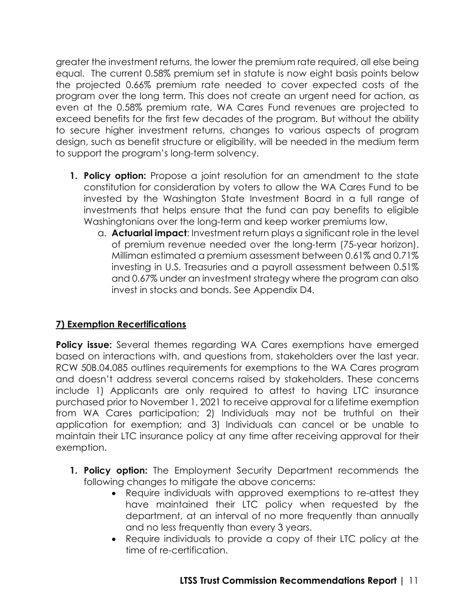greater the investment returns, the lower the premium rate required, all else being equal. The current 0.58% premium set in statute is now eight basis points below the projected 0.66% premium rate needed to cover expected costs of the program over the long term. This does not create an urgent need for action, as even at the 0.58% premium rate, WA Cares Fund revenues are projected to exceed benefits for the first few decades of the program. But without the ability to secure higher investment returns, changes to various aspects of program design, such as benefit structure or eligibility, will be needed in the medium term to support the program's long-term solvency.

- **1. Policy option:** Propose a joint resolution for an amendment to the state constitution for consideration by voters to allow the WA Cares Fund to be invested by the Washington State Investment Board in a full range of investments that helps ensure that the fund can pay benefits to eligible Washingtonians over the long-term and keep worker premiums low.
	- a. **Actuarial impact**: Investment return plays a significant role in the level of premium revenue needed over the long-term (75-year horizon). Milliman estimated a premium assessment between 0.61% and 0.71% investing in U.S. Treasuries and a payroll assessment between 0.51% and 0.67% under an investment strategy where the program can also invest in stocks and bonds. See Appendix D4.

# **7) Exemption Recertifications**

**Policy issue:** Several themes regarding WA Cares exemptions have emerged based on interactions with, and questions from, stakeholders over the last year. RCW 50B.04.085 outlines requirements for exemptions to the WA Cares program and doesn't address several concerns raised by stakeholders. These concerns include 1) Applicants are only required to attest to having LTC insurance purchased prior to November 1, 2021 to receive approval for a lifetime exemption from WA Cares participation; 2) Individuals may not be truthful on their application for exemption; and 3) Individuals can cancel or be unable to maintain their LTC insurance policy at any time after receiving approval for their exemption.

- **1. Policy option:** The Employment Security Department recommends the following changes to mitigate the above concerns:
	- Require individuals with approved exemptions to re-attest they have maintained their LTC policy when requested by the department, at an interval of no more frequently than annually and no less frequently than every 3 years.
	- Require individuals to provide a copy of their LTC policy at the time of re-certification.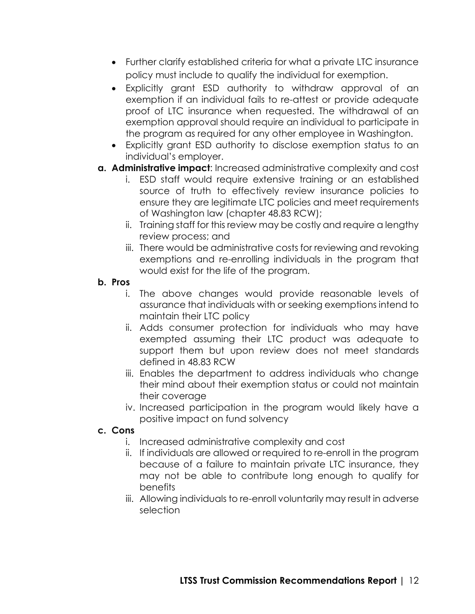- Further clarify established criteria for what a private LTC insurance policy must include to qualify the individual for exemption.
- Explicitly grant ESD authority to withdraw approval of an exemption if an individual fails to re-attest or provide adequate proof of LTC insurance when requested. The withdrawal of an exemption approval should require an individual to participate in the program as required for any other employee in Washington.
- Explicitly grant ESD authority to disclose exemption status to an individual's employer.
- **a. Administrative impact**: Increased administrative complexity and cost
	- i. ESD staff would require extensive training or an established source of truth to effectively review insurance policies to ensure they are legitimate LTC policies and meet requirements of Washington law (chapter 48.83 RCW);
	- ii. Training staff for this review may be costly and require a lengthy review process; and
	- iii. There would be administrative costs for reviewing and revoking exemptions and re-enrolling individuals in the program that would exist for the life of the program.

#### **b. Pros**

- i. The above changes would provide reasonable levels of assurance that individuals with or seeking exemptions intend to maintain their LTC policy
- ii. Adds consumer protection for individuals who may have exempted assuming their LTC product was adequate to support them but upon review does not meet standards defined in 48.83 RCW
- iii. Enables the department to address individuals who change their mind about their exemption status or could not maintain their coverage
- iv. Increased participation in the program would likely have a positive impact on fund solvency

#### **c. Cons**

- i. Increased administrative complexity and cost
- ii. If individuals are allowed or required to re-enroll in the program because of a failure to maintain private LTC insurance, they may not be able to contribute long enough to qualify for benefits
- iii. Allowing individuals to re-enroll voluntarily may result in adverse selection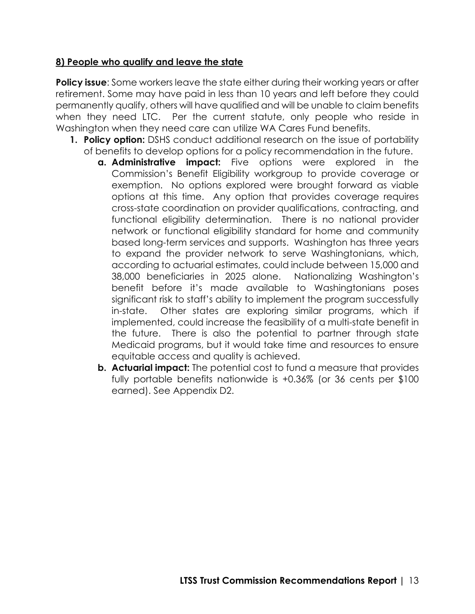#### **8) People who qualify and leave the state**

**Policy issue:** Some workers leave the state either during their working years or after retirement. Some may have paid in less than 10 years and left before they could permanently qualify, others will have qualified and will be unable to claim benefits when they need LTC. Per the current statute, only people who reside in Washington when they need care can utilize WA Cares Fund benefits.

- **1. Policy option:** DSHS conduct additional research on the issue of portability of benefits to develop options for a policy recommendation in the future.
	- **a. Administrative impact:** Five options were explored in the Commission's Benefit Eligibility workgroup to provide coverage or exemption. No options explored were brought forward as viable options at this time. Any option that provides coverage requires cross-state coordination on provider qualifications, contracting, and functional eligibility determination. There is no national provider network or functional eligibility standard for home and community based long-term services and supports. Washington has three years to expand the provider network to serve Washingtonians, which, according to actuarial estimates, could include between 15,000 and 38,000 beneficiaries in 2025 alone. Nationalizing Washington's benefit before it's made available to Washingtonians poses significant risk to staff's ability to implement the program successfully in-state. Other states are exploring similar programs, which if implemented, could increase the feasibility of a multi-state benefit in the future. There is also the potential to partner through state Medicaid programs, but it would take time and resources to ensure equitable access and quality is achieved.
	- **b. Actuarial impact:** The potential cost to fund a measure that provides fully portable benefits nationwide is +0.36% (or 36 cents per \$100 earned). See Appendix D2.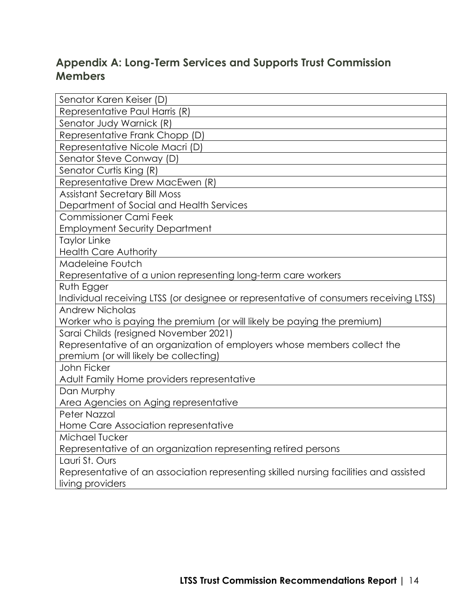# **Appendix A: Long-Term Services and Supports Trust Commission Members**

| Senator Karen Keiser (D)                                                              |
|---------------------------------------------------------------------------------------|
| Representative Paul Harris (R)                                                        |
| Senator Judy Warnick (R)                                                              |
| Representative Frank Chopp (D)                                                        |
| Representative Nicole Macri (D)                                                       |
| Senator Steve Conway (D)                                                              |
| Senator Curtis King (R)                                                               |
| Representative Drew MacEwen (R)                                                       |
| <b>Assistant Secretary Bill Moss</b>                                                  |
| Department of Social and Health Services                                              |
| <b>Commissioner Cami Feek</b>                                                         |
| <b>Employment Security Department</b>                                                 |
| <b>Taylor Linke</b>                                                                   |
| <b>Health Care Authority</b>                                                          |
| Madeleine Foutch                                                                      |
| Representative of a union representing long-term care workers                         |
| Ruth Egger                                                                            |
| Individual receiving LTSS (or designee or representative of consumers receiving LTSS) |
| <b>Andrew Nicholas</b>                                                                |
| Worker who is paying the premium (or will likely be paying the premium)               |
| Sarai Childs (resigned November 2021)                                                 |
| Representative of an organization of employers whose members collect the              |
| premium (or will likely be collecting)                                                |
| John Ficker                                                                           |
| Adult Family Home providers representative                                            |
| Dan Murphy                                                                            |
| Area Agencies on Aging representative                                                 |
| Peter Nazzal                                                                          |
| Home Care Association representative                                                  |
| Michael Tucker                                                                        |
| Representative of an organization representing retired persons                        |
| Lauri St. Ours                                                                        |
| Representative of an association representing skilled nursing facilities and assisted |
| living providers                                                                      |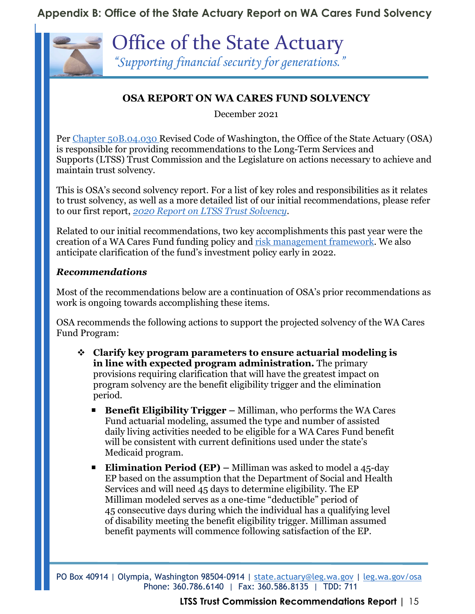# **Appendix B: Office of the State Actuary Report on WA Cares Fund Solvency**



Office of the State Actuary *"Supporting financial security for generations."* 

# **OSA REPORT ON WA CARES FUND SOLVENCY**

December 2021

Per [Chapter 50B.04.030](https://app.leg.wa.gov/RCW/default.aspx?cite=50B.04.030) Revised Code of Washington, the Office of the State Actuary (OSA) is responsible for providing recommendations to the Long-Term Services and Supports (LTSS) Trust Commission and the Legislature on actions necessary to achieve and maintain trust solvency.

This is OSA's second solvency report. For a list of key roles and responsibilities as it relates to trust solvency, as well as a more detailed list of our initial recommendations, please refer to our first report, *[2020 Report on LTSS Trust Solvency](https://leg.wa.gov/osa/additionalservices/Documents/OSA2020ReportLTSSTrustSolvency.pdf)*.

Related to our initial recommendations, two key accomplishments this past year were the creation of a WA Cares Fund funding policy and [risk management framework.](https://leg.wa.gov/osa/additionalservices/Documents/LTSS.Trust.Commission.Risk.Management.FrameworkFINAL.pdf) We also anticipate clarification of the fund's investment policy early in 2022.

#### *Recommendations*

Most of the recommendations below are a continuation of OSA's prior recommendations as work is ongoing towards accomplishing these items.

OSA recommends the following actions to support the projected solvency of the WA Cares Fund Program:

- **Clarify key program parameters to ensure actuarial modeling is in line with expected program administration.** The primary provisions requiring clarification that will have the greatest impact on program solvency are the benefit eligibility trigger and the elimination period.
	- **Benefit Eligibility Trigger** Milliman, who performs the WA Cares Fund actuarial modeling, assumed the type and number of assisted daily living activities needed to be eligible for a WA Cares Fund benefit will be consistent with current definitions used under the state's Medicaid program.
	- **Elimination Period (EP)** Milliman was asked to model a 45-day EP based on the assumption that the Department of Social and Health Services and will need 45 days to determine eligibility. The EP Milliman modeled serves as a one-time "deductible" period of 45 consecutive days during which the individual has a qualifying level of disability meeting the benefit eligibility trigger. Milliman assumed benefit payments will commence following satisfaction of the EP.

PO Box 40914 | Olympia, Washington 98504-0914 | [state.actuary@leg.wa.gov](mailto:state.actuary@leg.wa.gov) | [leg.wa.gov/osa](http://leg.wa.gov/OSA/Pages/default.aspx) Phone: 360.786.6140 | Fax: 360.586.8135 | TDD: 711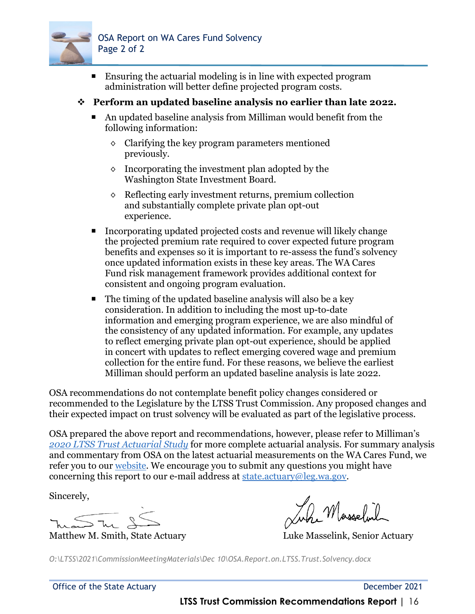

 Ensuring the actuarial modeling is in line with expected program administration will better define projected program costs.

#### **Perform an updated baseline analysis no earlier than late 2022.**

- An updated baseline analysis from Milliman would benefit from the following information:
	- ◊ Clarifying the key program parameters mentioned previously.
	- ◊ Incorporating the investment plan adopted by the Washington State Investment Board.
	- ◊ Reflecting early investment returns, premium collection and substantially complete private plan opt-out experience.
- Incorporating updated projected costs and revenue will likely change the projected premium rate required to cover expected future program benefits and expenses so it is important to re-assess the fund's solvency once updated information exists in these key areas. The WA Cares Fund risk management framework provides additional context for consistent and ongoing program evaluation.
- $\blacksquare$  The timing of the updated baseline analysis will also be a key consideration. In addition to including the most up-to-date information and emerging program experience, we are also mindful of the consistency of any updated information. For example, any updates to reflect emerging private plan opt-out experience, should be applied in concert with updates to reflect emerging covered wage and premium collection for the entire fund. For these reasons, we believe the earliest Milliman should perform an updated baseline analysis is late 2022.

OSA recommendations do not contemplate benefit policy changes considered or recommended to the Legislature by the LTSS Trust Commission. Any proposed changes and their expected impact on trust solvency will be evaluated as part of the legislative process.

OSA prepared the above report and recommendations, however, please refer to Milliman's *[2020 LTSS Trust Actuarial Study](https://leg.wa.gov/osa/additionalservices/Documents/Milliman2020WALTSSTrustActuarial%20Study.pdf)* for more complete actuarial analysis. For summary analysis and commentary from OSA on the latest actuarial measurements on the WA Cares Fund, we refer you to our [website.](https://leg.wa.gov/osa/additionalservices/Documents/LTSS.Webpage.Key.Financial.Metrics-Update.pdf) We encourage you to submit any questions you might have concerning this report to our e-mail address at [state.actuary@leg.wa.gov.](mailto:state.actuary@leg.wa.gov)

Sincerely,

und The 25

Juhr Masselvil

Matthew M. Smith, State Actuary Luke Masselink, Senior Actuary

*O:\LTSS\2021\CommissionMeetingMaterials\Dec 10\OSA.Report.on.LTSS.Trust.Solvency.docx*

Office of the State Actuary **December 2021** 

**LTSS Trust Commission Recommendations Report |** 16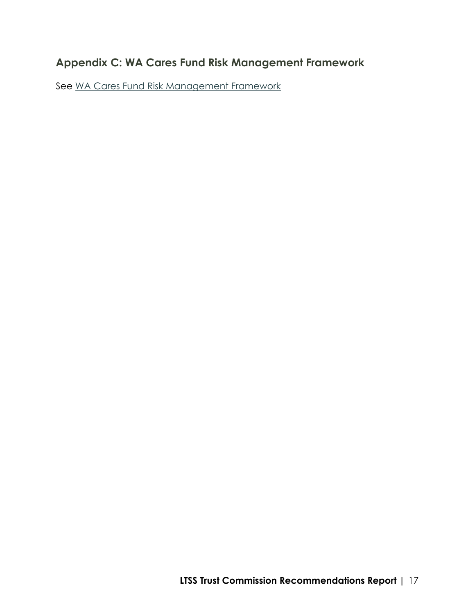# **Appendix C: WA Cares Fund Risk Management Framework**

See [WA Cares Fund Risk Management Framework](https://leg.wa.gov/osa/additionalservices/Documents/LTSS.Trust.Commission.Risk.Management.FrameworkFINAL.pdf)